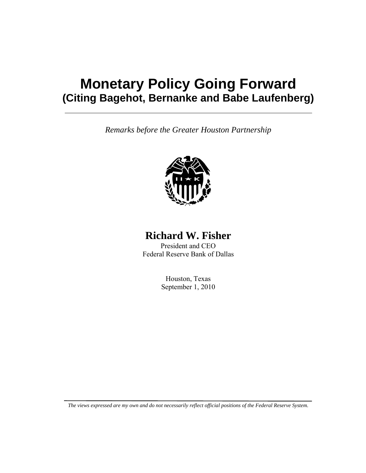# **Monetary Policy Going Forward (Citing Bagehot, Bernanke and Babe Laufenberg)**

*Remarks before the Greater Houston Partnership* 



## **Richard W. Fisher**

President and CEO Federal Reserve Bank of Dallas

> Houston, Texas September 1, 2010

*The views expressed are my own and do not necessarily reflect official positions of the Federal Reserve System.*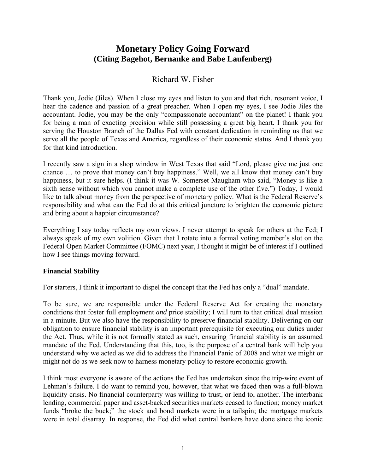## **Monetary Policy Going Forward (Citing Bagehot, Bernanke and Babe Laufenberg)**

### Richard W. Fisher

Thank you, Jodie (Jiles). When I close my eyes and listen to you and that rich, resonant voice, I hear the cadence and passion of a great preacher. When I open my eyes, I see Jodie Jiles the accountant. Jodie, you may be the only "compassionate accountant" on the planet! I thank you for being a man of exacting precision while still possessing a great big heart. I thank you for serving the Houston Branch of the Dallas Fed with constant dedication in reminding us that we serve all the people of Texas and America, regardless of their economic status. And I thank you for that kind introduction.

I recently saw a sign in a shop window in West Texas that said "Lord, please give me just one chance … to prove that money can't buy happiness." Well, we all know that money can't buy happiness, but it sure helps. (I think it was W. Somerset Maugham who said, "Money is like a sixth sense without which you cannot make a complete use of the other five.") Today, I would like to talk about money from the perspective of monetary policy. What is the Federal Reserve's responsibility and what can the Fed do at this critical juncture to brighten the economic picture and bring about a happier circumstance?

Everything I say today reflects my own views. I never attempt to speak for others at the Fed; I always speak of my own volition. Given that I rotate into a formal voting member's slot on the Federal Open Market Committee (FOMC) next year, I thought it might be of interest if I outlined how I see things moving forward.

#### **Financial Stability**

For starters, I think it important to dispel the concept that the Fed has only a "dual" mandate.

To be sure, we are responsible under the Federal Reserve Act for creating the monetary conditions that foster full employment *and* price stability; I will turn to that critical dual mission in a minute. But we also have the responsibility to preserve financial stability. Delivering on our obligation to ensure financial stability is an important prerequisite for executing our duties under the Act. Thus, while it is not formally stated as such, ensuring financial stability is an assumed mandate of the Fed. Understanding that this, too, is the purpose of a central bank will help you understand why we acted as we did to address the Financial Panic of 2008 and what we might or might not do as we seek now to harness monetary policy to restore economic growth.

I think most everyone is aware of the actions the Fed has undertaken since the trip-wire event of Lehman's failure. I do want to remind you, however, that what we faced then was a full-blown liquidity crisis. No financial counterparty was willing to trust, or lend to, another. The interbank lending, commercial paper and asset-backed securities markets ceased to function; money market funds "broke the buck;" the stock and bond markets were in a tailspin; the mortgage markets were in total disarray. In response, the Fed did what central bankers have done since the iconic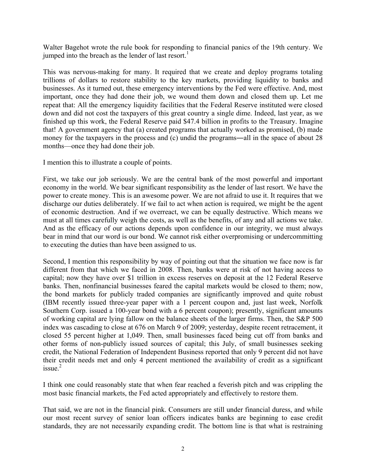Walter Bagehot wrote the rule book for responding to financial panics of the 19th century. We jumped into the breach as the lender of last resort.<sup>1</sup>

This was nervous-making for many. It required that we create and deploy programs totaling trillions of dollars to restore stability to the key markets, providing liquidity to banks and businesses. As it turned out, these emergency interventions by the Fed were effective. And, most important, once they had done their job, we wound them down and closed them up. Let me repeat that: All the emergency liquidity facilities that the Federal Reserve instituted were closed down and did not cost the taxpayers of this great country a single dime. Indeed, last year, as we finished up this work, the Federal Reserve paid \$47.4 billion in profits to the Treasury. Imagine that! A government agency that (a) created programs that actually worked as promised, (b) made money for the taxpayers in the process and (c) undid the programs—all in the space of about 28 months—once they had done their job.

I mention this to illustrate a couple of points.

First, we take our job seriously. We are the central bank of the most powerful and important economy in the world. We bear significant responsibility as the lender of last resort. We have the power to create money. This is an awesome power. We are not afraid to use it. It requires that we discharge our duties deliberately. If we fail to act when action is required, we might be the agent of economic destruction. And if we overreact, we can be equally destructive. Which means we must at all times carefully weigh the costs, as well as the benefits, of any and all actions we take. And as the efficacy of our actions depends upon confidence in our integrity, we must always bear in mind that our word is our bond. We cannot risk either overpromising or undercommitting to executing the duties than have been assigned to us.

Second, I mention this responsibility by way of pointing out that the situation we face now is far different from that which we faced in 2008. Then, banks were at risk of not having access to capital; now they have over \$1 trillion in excess reserves on deposit at the 12 Federal Reserve banks. Then, nonfinancial businesses feared the capital markets would be closed to them; now, the bond markets for publicly traded companies are significantly improved and quite robust (IBM recently issued three-year paper with a 1 percent coupon and, just last week, Norfolk Southern Corp. issued a 100-year bond with a 6 percent coupon); presently, significant amounts of working capital are lying fallow on the balance sheets of the larger firms. Then, the S&P 500 index was cascading to close at 676 on March 9 of 2009; yesterday, despite recent retracement, it closed 55 percent higher at 1,049. Then, small businesses faced being cut off from banks and other forms of non-publicly issued sources of capital; this July, of small businesses seeking credit, the National Federation of Independent Business reported that only 9 percent did not have their credit needs met and only 4 percent mentioned the availability of credit as a significant  $is sue.<sup>2</sup>$ 

I think one could reasonably state that when fear reached a feverish pitch and was crippling the most basic financial markets, the Fed acted appropriately and effectively to restore them.

That said, we are not in the financial pink. Consumers are still under financial duress, and while our most recent survey of senior loan officers indicates banks are beginning to ease credit standards, they are not necessarily expanding credit. The bottom line is that what is restraining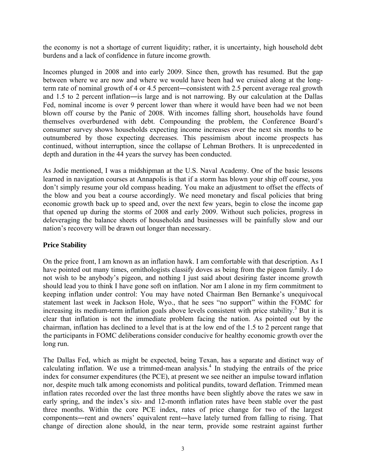the economy is not a shortage of current liquidity; rather, it is uncertainty, high household debt burdens and a lack of confidence in future income growth.

Incomes plunged in 2008 and into early 2009. Since then, growth has resumed. But the gap between where we are now and where we would have been had we cruised along at the longterm rate of nominal growth of 4 or 4.5 percent―consistent with 2.5 percent average real growth and 1.5 to 2 percent inflation―is large and is not narrowing. By our calculation at the Dallas Fed, nominal income is over 9 percent lower than where it would have been had we not been blown off course by the Panic of 2008. With incomes falling short, households have found themselves overburdened with debt. Compounding the problem, the Conference Board's consumer survey shows households expecting income increases over the next six months to be outnumbered by those expecting decreases. This pessimism about income prospects has continued, without interruption, since the collapse of Lehman Brothers. It is unprecedented in depth and duration in the 44 years the survey has been conducted.

As Jodie mentioned, I was a midshipman at the U.S. Naval Academy. One of the basic lessons learned in navigation courses at Annapolis is that if a storm has blown your ship off course, you don't simply resume your old compass heading. You make an adjustment to offset the effects of the blow and you beat a course accordingly. We need monetary and fiscal policies that bring economic growth back up to speed and, over the next few years, begin to close the income gap that opened up during the storms of 2008 and early 2009. Without such policies, progress in deleveraging the balance sheets of households and businesses will be painfully slow and our nation's recovery will be drawn out longer than necessary.

#### **Price Stability**

On the price front, I am known as an inflation hawk. I am comfortable with that description. As I have pointed out many times, ornithologists classify doves as being from the pigeon family. I do not wish to be anybody's pigeon, and nothing I just said about desiring faster income growth should lead you to think I have gone soft on inflation. Nor am I alone in my firm commitment to keeping inflation under control: You may have noted Chairman Ben Bernanke's unequivocal statement last week in Jackson Hole, Wyo., that he sees "no support" within the FOMC for increasing its medium-term inflation goals above levels consistent with price stability.<sup>3</sup> But it is clear that inflation is not the immediate problem facing the nation. As pointed out by the chairman, inflation has declined to a level that is at the low end of the 1.5 to 2 percent range that the participants in FOMC deliberations consider conducive for healthy economic growth over the long run.

The Dallas Fed, which as might be expected, being Texan, has a separate and distinct way of calculating inflation. We use a trimmed-mean analysis.<sup>4</sup> In studying the entrails of the price index for consumer expenditures (the PCE), at present we see neither an impulse toward inflation nor, despite much talk among economists and political pundits, toward deflation. Trimmed mean inflation rates recorded over the last three months have been slightly above the rates we saw in early spring, and the index's six- and 12-month inflation rates have been stable over the past three months. Within the core PCE index, rates of price change for two of the largest components―rent and owners' equivalent rent―have lately turned from falling to rising. That change of direction alone should, in the near term, provide some restraint against further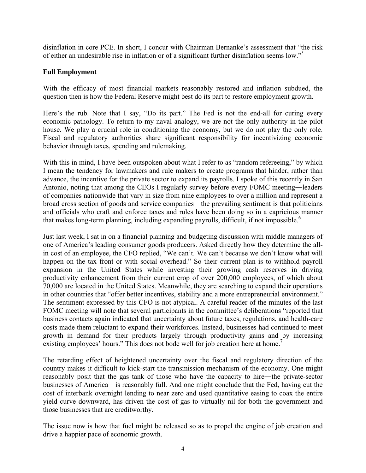disinflation in core PCE. In short, I concur with Chairman Bernanke's assessment that "the risk of either an undesirable rise in inflation or of a significant further disinflation seems low."5

#### **Full Employment**

With the efficacy of most financial markets reasonably restored and inflation subdued, the question then is how the Federal Reserve might best do its part to restore employment growth.

Here's the rub. Note that I say, "Do its part." The Fed is not the end-all for curing every economic pathology. To return to my naval analogy, we are not the only authority in the pilot house. We play a crucial role in conditioning the economy, but we do not play the only role. Fiscal and regulatory authorities share significant responsibility for incentivizing economic behavior through taxes, spending and rulemaking.

With this in mind, I have been outspoken about what I refer to as "random refereeing," by which I mean the tendency for lawmakers and rule makers to create programs that hinder, rather than advance, the incentive for the private sector to expand its payrolls. I spoke of this recently in San Antonio, noting that among the CEOs I regularly survey before every FOMC meeting―leaders of companies nationwide that vary in size from nine employees to over a million and represent a broad cross section of goods and service companies―the prevailing sentiment is that politicians and officials who craft and enforce taxes and rules have been doing so in a capricious manner that makes long-term planning, including expanding payrolls, difficult, if not impossible.<sup>6</sup>

Just last week, I sat in on a financial planning and budgeting discussion with middle managers of one of America's leading consumer goods producers. Asked directly how they determine the allin cost of an employee, the CFO replied, "We can't. We can't because we don't know what will happen on the tax front or with social overhead." So their current plan is to withhold payroll expansion in the United States while investing their growing cash reserves in driving productivity enhancement from their current crop of over 200,000 employees, of which about 70,000 are located in the United States. Meanwhile, they are searching to expand their operations in other countries that "offer better incentives, stability and a more entrepreneurial environment." The sentiment expressed by this CFO is not atypical. A careful reader of the minutes of the last FOMC meeting will note that several participants in the committee's deliberations "reported that business contacts again indicated that uncertainty about future taxes, regulations, and health-care costs made them reluctant to expand their workforces. Instead, businesses had continued to meet growth in demand for their products largely through productivity gains and by increasing existing employees' hours." This does not bode well for job creation here at home.<sup>7</sup>

The retarding effect of heightened uncertainty over the fiscal and regulatory direction of the country makes it difficult to kick-start the transmission mechanism of the economy. One might reasonably posit that the gas tank of those who have the capacity to hire―the private-sector businesses of America―is reasonably full. And one might conclude that the Fed, having cut the cost of interbank overnight lending to near zero and used quantitative easing to coax the entire yield curve downward, has driven the cost of gas to virtually nil for both the government and those businesses that are creditworthy.

The issue now is how that fuel might be released so as to propel the engine of job creation and drive a happier pace of economic growth.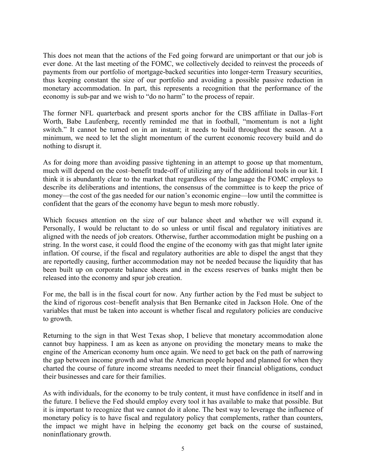This does not mean that the actions of the Fed going forward are unimportant or that our job is ever done. At the last meeting of the FOMC, we collectively decided to reinvest the proceeds of payments from our portfolio of mortgage-backed securities into longer-term Treasury securities, thus keeping constant the size of our portfolio and avoiding a possible passive reduction in monetary accommodation. In part, this represents a recognition that the performance of the economy is sub-par and we wish to "do no harm" to the process of repair.

The former NFL quarterback and present sports anchor for the CBS affiliate in Dallas–Fort Worth, Babe Laufenberg, recently reminded me that in football, "momentum is not a light switch." It cannot be turned on in an instant; it needs to build throughout the season. At a minimum, we need to let the slight momentum of the current economic recovery build and do nothing to disrupt it.

As for doing more than avoiding passive tightening in an attempt to goose up that momentum, much will depend on the cost–benefit trade-off of utilizing any of the additional tools in our kit. I think it is abundantly clear to the market that regardless of the language the FOMC employs to describe its deliberations and intentions, the consensus of the committee is to keep the price of money—the cost of the gas needed for our nation's economic engine—low until the committee is confident that the gears of the economy have begun to mesh more robustly.

Which focuses attention on the size of our balance sheet and whether we will expand it. Personally, I would be reluctant to do so unless or until fiscal and regulatory initiatives are aligned with the needs of job creators. Otherwise, further accommodation might be pushing on a string. In the worst case, it could flood the engine of the economy with gas that might later ignite inflation. Of course, if the fiscal and regulatory authorities are able to dispel the angst that they are reportedly causing, further accommodation may not be needed because the liquidity that has been built up on corporate balance sheets and in the excess reserves of banks might then be released into the economy and spur job creation.

For me, the ball is in the fiscal court for now. Any further action by the Fed must be subject to the kind of rigorous cost–benefit analysis that Ben Bernanke cited in Jackson Hole. One of the variables that must be taken into account is whether fiscal and regulatory policies are conducive to growth.

Returning to the sign in that West Texas shop, I believe that monetary accommodation alone cannot buy happiness. I am as keen as anyone on providing the monetary means to make the engine of the American economy hum once again. We need to get back on the path of narrowing the gap between income growth and what the American people hoped and planned for when they charted the course of future income streams needed to meet their financial obligations, conduct their businesses and care for their families.

As with individuals, for the economy to be truly content, it must have confidence in itself and in the future. I believe the Fed should employ every tool it has available to make that possible. But it is important to recognize that we cannot do it alone. The best way to leverage the influence of monetary policy is to have fiscal and regulatory policy that complements, rather than counters, the impact we might have in helping the economy get back on the course of sustained, noninflationary growth.